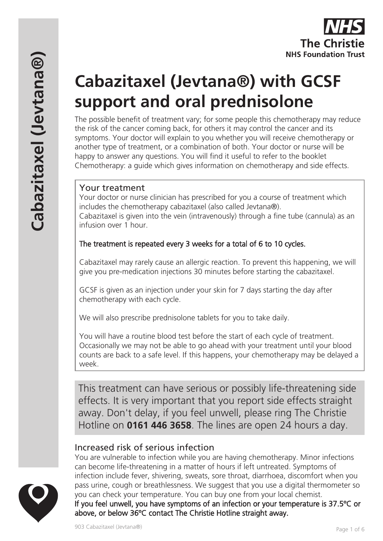# **Cabazitaxel (Jevtana®) with GCSF support and oral prednisolone**

The possible benefit of treatment vary; for some people this chemotherapy may reduce the risk of the cancer coming back, for others it may control the cancer and its symptoms. Your doctor will explain to you whether you will receive chemotherapy or another type of treatment, or a combination of both. Your doctor or nurse will be happy to answer any questions. You will find it useful to refer to the booklet Chemotherapy: a guide which gives information on chemotherapy and side effects.

# Your treatment

Your doctor or nurse clinician has prescribed for you a course of treatment which includes the chemotherapy cabazitaxel (also called Jevtana®). Cabazitaxel is given into the vein (intravenously) through a fine tube (cannula) as an infusion over 1 hour.

The treatment is repeated every 3 weeks for a total of 6 to 10 cycles.

Cabazitaxel may rarely cause an allergic reaction. To prevent this happening, we will give you pre-medication injections 30 minutes before starting the cabazitaxel.

GCSF is given as an injection under your skin for 7 days starting the day after chemotherapy with each cycle.

We will also prescribe prednisolone tablets for you to take daily.

You will have a routine blood test before the start of each cycle of treatment. Occasionally we may not be able to go ahead with your treatment until your blood counts are back to a safe level. If this happens, your chemotherapy may be delayed a week.

This treatment can have serious or possibly life-threatening side effects. It is very important that you report side effects straight away. Don't delay, if you feel unwell, please ring The Christie Hotline on **0161 446 3658**. The lines are open 24 hours a day.

# Increased risk of serious infection

You are vulnerable to infection while you are having chemotherapy. Minor infections can become life-threatening in a matter of hours if left untreated. Symptoms of infection include fever, shivering, sweats, sore throat, diarrhoea, discomfort when you pass urine, cough or breathlessness. We suggest that you use a digital thermometer so you can check your temperature. You can buy one from your local chemist. If you feel unwell, you have symptoms of an infection or your temperature is 37.5ºC or above, or below 36ºC contact The Christie Hotline straight away.

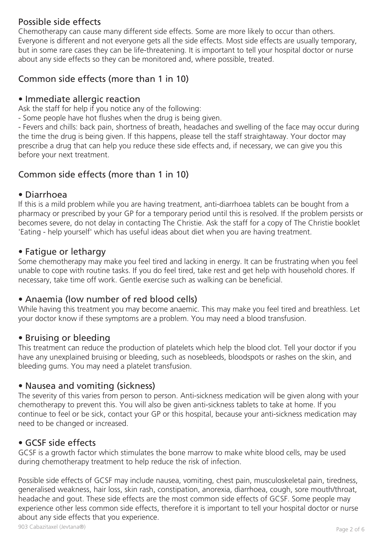# Possible side effects

Chemotherapy can cause many different side effects. Some are more likely to occur than others. Everyone is different and not everyone gets all the side effects. Most side effects are usually temporary, but in some rare cases they can be life-threatening. It is important to tell your hospital doctor or nurse about any side effects so they can be monitored and, where possible, treated.

# Common side effects (more than 1 in 10)

## • Immediate allergic reaction

Ask the staff for help if you notice any of the following:

- Some people have hot flushes when the drug is being given.

- Fevers and chills: back pain, shortness of breath, headaches and swelling of the face may occur during the time the drug is being given. If this happens, please tell the staff straightaway. Your doctor may prescribe a drug that can help you reduce these side effects and, if necessary, we can give you this before your next treatment.

# Common side effects (more than 1 in 10)

## • Diarrhoea

If this is a mild problem while you are having treatment, anti-diarrhoea tablets can be bought from a pharmacy or prescribed by your GP for a temporary period until this is resolved. If the problem persists or becomes severe, do not delay in contacting The Christie. Ask the staff for a copy of The Christie booklet 'Eating - help yourself' which has useful ideas about diet when you are having treatment.

## • Fatigue or lethargy

Some chemotherapy may make you feel tired and lacking in energy. It can be frustrating when you feel unable to cope with routine tasks. If you do feel tired, take rest and get help with household chores. If necessary, take time off work. Gentle exercise such as walking can be beneficial.

# • Anaemia (low number of red blood cells)

While having this treatment you may become anaemic. This may make you feel tired and breathless. Let your doctor know if these symptoms are a problem. You may need a blood transfusion.

## • Bruising or bleeding

This treatment can reduce the production of platelets which help the blood clot. Tell your doctor if you have any unexplained bruising or bleeding, such as nosebleeds, bloodspots or rashes on the skin, and bleeding gums. You may need a platelet transfusion.

## • Nausea and vomiting (sickness)

The severity of this varies from person to person. Anti-sickness medication will be given along with your chemotherapy to prevent this. You will also be given anti-sickness tablets to take at home. If you continue to feel or be sick, contact your GP or this hospital, because your anti-sickness medication may need to be changed or increased.

## • GCSF side effects

GCSF is a growth factor which stimulates the bone marrow to make white blood cells, may be used during chemotherapy treatment to help reduce the risk of infection.

Possible side effects of GCSF may include nausea, vomiting, chest pain, musculoskeletal pain, tiredness, generalised weakness, hair loss, skin rash, constipation, anorexia, diarrhoea, cough, sore mouth/throat, headache and gout. These side effects are the most common side effects of GCSF. Some people may experience other less common side effects, therefore it is important to tell your hospital doctor or nurse about any side effects that you experience.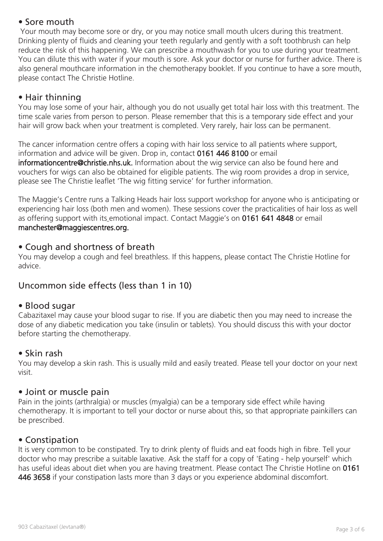# • Sore mouth

 Your mouth may become sore or dry, or you may notice small mouth ulcers during this treatment. Drinking plenty of fluids and cleaning your teeth regularly and gently with a soft toothbrush can help reduce the risk of this happening. We can prescribe a mouthwash for you to use during your treatment. You can dilute this with water if your mouth is sore. Ask your doctor or nurse for further advice. There is also general mouthcare information in the chemotherapy booklet. If you continue to have a sore mouth, please contact The Christie Hotline.

# • Hair thinning

You may lose some of your hair, although you do not usually get total hair loss with this treatment. The time scale varies from person to person. Please remember that this is a temporary side effect and your hair will grow back when your treatment is completed. Very rarely, hair loss can be permanent.

The cancer information centre offers a coping with hair loss service to all patients where support, information and advice will be given. Drop in, contact 0161 446 8100 or email informationcentre@christie.nhs.uk. Information about the wig service can also be found here and vouchers for wigs can also be obtained for eligible patients. The wig room provides a drop in service, please see The Christie leaflet 'The wig fitting service' for further information.

The Maggie's Centre runs a Talking Heads hair loss support workshop for anyone who is anticipating or experiencing hair loss (both men and women). These sessions cover the practicalities of hair loss as well as offering support with its emotional impact. Contact Maggie's on 0161 641 4848 or email manchester@maggiescentres.org.

## • Cough and shortness of breath

You may develop a cough and feel breathless. If this happens, please contact The Christie Hotline for advice.

# Uncommon side effects (less than 1 in 10)

## • Blood sugar

Cabazitaxel may cause your blood sugar to rise. If you are diabetic then you may need to increase the dose of any diabetic medication you take (insulin or tablets). You should discuss this with your doctor before starting the chemotherapy.

## • Skin rash

You may develop a skin rash. This is usually mild and easily treated. Please tell your doctor on your next visit.

## • Joint or muscle pain

Pain in the joints (arthralgia) or muscles (myalgia) can be a temporary side effect while having chemotherapy. It is important to tell your doctor or nurse about this, so that appropriate painkillers can be prescribed.

## • Constipation

It is very common to be constipated. Try to drink plenty of fluids and eat foods high in fibre. Tell your doctor who may prescribe a suitable laxative. Ask the staff for a copy of 'Eating - help yourself' which has useful ideas about diet when you are having treatment. Please contact The Christie Hotline on 0161 446 3658 if your constipation lasts more than 3 days or you experience abdominal discomfort.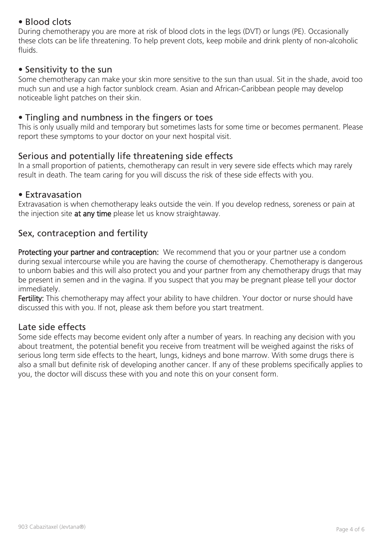# • Blood clots

During chemotherapy you are more at risk of blood clots in the legs (DVT) or lungs (PE). Occasionally these clots can be life threatening. To help prevent clots, keep mobile and drink plenty of non-alcoholic fluids.

## • Sensitivity to the sun

Some chemotherapy can make your skin more sensitive to the sun than usual. Sit in the shade, avoid too much sun and use a high factor sunblock cream. Asian and African-Caribbean people may develop noticeable light patches on their skin.

## • Tingling and numbness in the fingers or toes

This is only usually mild and temporary but sometimes lasts for some time or becomes permanent. Please report these symptoms to your doctor on your next hospital visit.

## Serious and potentially life threatening side effects

In a small proportion of patients, chemotherapy can result in very severe side effects which may rarely result in death. The team caring for you will discuss the risk of these side effects with you.

#### • Extravasation

Extravasation is when chemotherapy leaks outside the vein. If you develop redness, soreness or pain at the injection site at any time please let us know straightaway.

## Sex, contraception and fertility

Protecting your partner and contraception: We recommend that you or your partner use a condom during sexual intercourse while you are having the course of chemotherapy. Chemotherapy is dangerous to unborn babies and this will also protect you and your partner from any chemotherapy drugs that may be present in semen and in the vagina. If you suspect that you may be pregnant please tell your doctor immediately.

Fertility: This chemotherapy may affect your ability to have children. Your doctor or nurse should have discussed this with you. If not, please ask them before you start treatment.

## Late side effects

Some side effects may become evident only after a number of years. In reaching any decision with you about treatment, the potential benefit you receive from treatment will be weighed against the risks of serious long term side effects to the heart, lungs, kidneys and bone marrow. With some drugs there is also a small but definite risk of developing another cancer. If any of these problems specifically applies to you, the doctor will discuss these with you and note this on your consent form.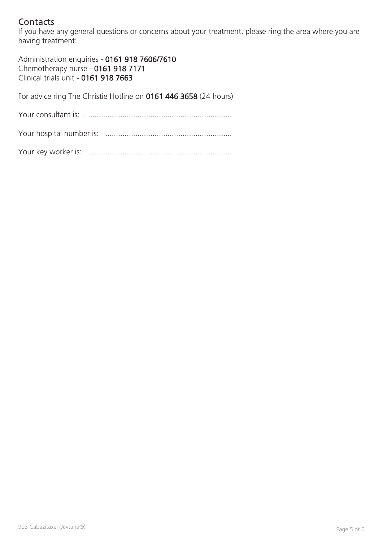# **Contacts**

If you have any general questions or concerns about your treatment, please ring the area where you are having treatment:

Administration enquiries - 0161 918 7606/7610 Chemotherapy nurse - 0161 918 7171 Clinical trials unit - 0161 918 7663

For advice ring The Christie Hotline on 0161 446 3658 (24 hours)

Your consultant is: .....................................................................

Your hospital number is: ...........................................................

Your key worker is: ....................................................................